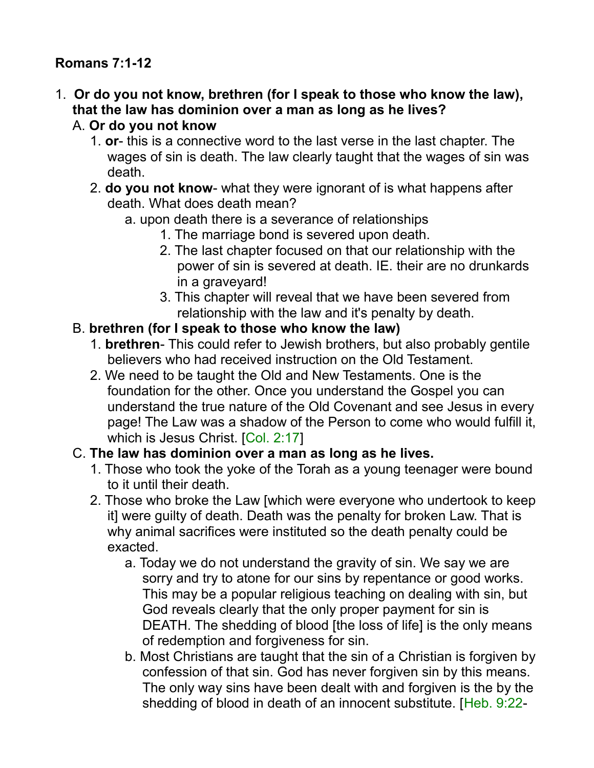# **Romans 7:1-12**

- 1. **Or do you not know, brethren (for I speak to those who know the law), that the law has dominion over a man as long as he lives?**  A. **Or do you not know**
	- 1. **or** this is a connective word to the last verse in the last chapter. The wages of sin is death. The law clearly taught that the wages of sin was death.
	- 2. **do you not know** what they were ignorant of is what happens after death. What does death mean?
		- a. upon death there is a severance of relationships
			- 1. The marriage bond is severed upon death.
			- 2. The last chapter focused on that our relationship with the power of sin is severed at death. IE. their are no drunkards in a graveyard!
			- 3. This chapter will reveal that we have been severed from relationship with the law and it's penalty by death.

#### B. **brethren (for I speak to those who know the law)**

- 1. **brethren** This could refer to Jewish brothers, but also probably gentile believers who had received instruction on the Old Testament.
- 2. We need to be taught the Old and New Testaments. One is the foundation for the other. Once you understand the Gospel you can understand the true nature of the Old Covenant and see Jesus in every page! The Law was a shadow of the Person to come who would fulfill it, which is Jesus Christ. [Col. 2:17]

#### C. **The law has dominion over a man as long as he lives.**

- 1. Those who took the yoke of the Torah as a young teenager were bound to it until their death.
- 2. Those who broke the Law [which were everyone who undertook to keep it] were guilty of death. Death was the penalty for broken Law. That is why animal sacrifices were instituted so the death penalty could be exacted.
	- a. Today we do not understand the gravity of sin. We say we are sorry and try to atone for our sins by repentance or good works. This may be a popular religious teaching on dealing with sin, but God reveals clearly that the only proper payment for sin is DEATH. The shedding of blood [the loss of life] is the only means of redemption and forgiveness for sin.
	- b. Most Christians are taught that the sin of a Christian is forgiven by confession of that sin. God has never forgiven sin by this means. The only way sins have been dealt with and forgiven is the by the shedding of blood in death of an innocent substitute. [Heb. 9:22-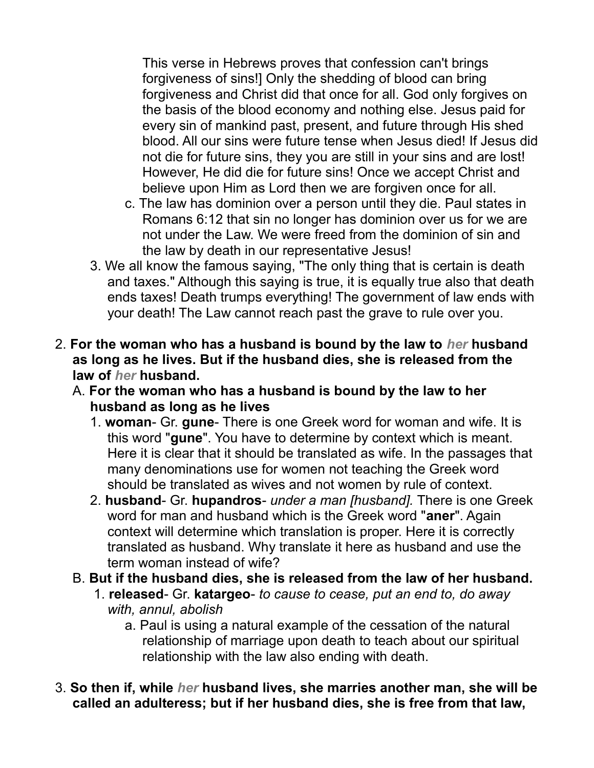This verse in Hebrews proves that confession can't brings forgiveness of sins!] Only the shedding of blood can bring forgiveness and Christ did that once for all. God only forgives on the basis of the blood economy and nothing else. Jesus paid for every sin of mankind past, present, and future through His shed blood. All our sins were future tense when Jesus died! If Jesus did not die for future sins, they you are still in your sins and are lost! However, He did die for future sins! Once we accept Christ and believe upon Him as Lord then we are forgiven once for all.

- c. The law has dominion over a person until they die. Paul states in Romans 6:12 that sin no longer has dominion over us for we are not under the Law. We were freed from the dominion of sin and the law by death in our representative Jesus!
- 3. We all know the famous saying, "The only thing that is certain is death and taxes." Although this saying is true, it is equally true also that death ends taxes! Death trumps everything! The government of law ends with your death! The Law cannot reach past the grave to rule over you.
- 2. **For the woman who has a husband is bound by the law to** *her* **husband as long as he lives. But if the husband dies, she is released from the law of** *her* **husband.**
	- A. **For the woman who has a husband is bound by the law to her husband as long as he lives**
		- 1. **woman** Gr. **gune** There is one Greek word for woman and wife. It is this word "**gune**". You have to determine by context which is meant. Here it is clear that it should be translated as wife. In the passages that many denominations use for women not teaching the Greek word should be translated as wives and not women by rule of context.
		- 2. **husband** Gr. **hupandros** *under a man [husband].* There is one Greek word for man and husband which is the Greek word "**aner**". Again context will determine which translation is proper. Here it is correctly translated as husband. Why translate it here as husband and use the term woman instead of wife?
	- B. **But if the husband dies, she is released from the law of her husband.**
		- 1. **released** Gr. **katargeo** *to cause to cease, put an end to, do away with, annul, abolish*
			- a. Paul is using a natural example of the cessation of the natural relationship of marriage upon death to teach about our spiritual relationship with the law also ending with death.
- 3. **So then if, while** *her* **husband lives, she marries another man, she will be called an adulteress; but if her husband dies, she is free from that law,**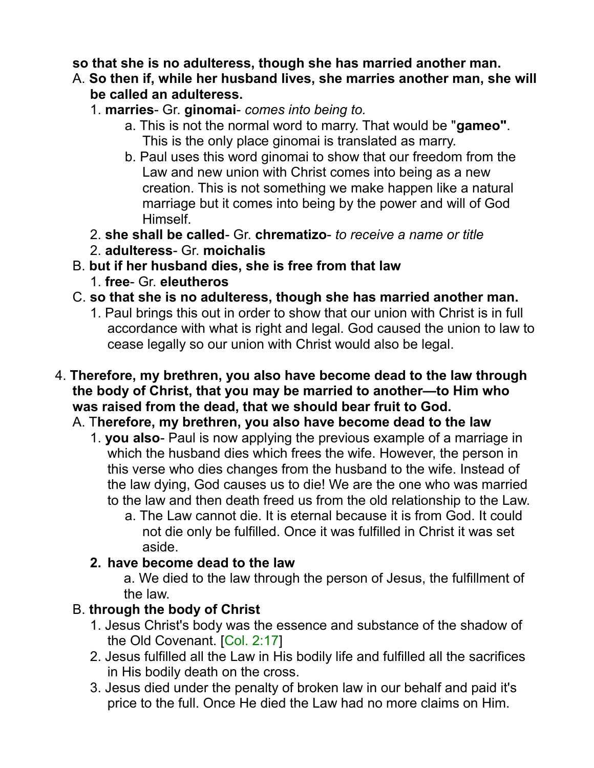#### **so that she is no adulteress, though she has married another man.**

- A. **So then if, while her husband lives, she marries another man, she will be called an adulteress.**
	- 1. **marries** Gr. **ginomai** *comes into being to.* 
		- a. This is not the normal word to marry. That would be "**gameo"**. This is the only place ginomai is translated as marry.
		- b. Paul uses this word ginomai to show that our freedom from the Law and new union with Christ comes into being as a new creation. This is not something we make happen like a natural marriage but it comes into being by the power and will of God Himself.
	- 2. **she shall be called** Gr. **chrematizo** *to receive a name or title*
	- 2. **adulteress** Gr. **moichalis**
- B. **but if her husband dies, she is free from that law**
	- 1. **free** Gr. **eleutheros**
- C. **so that she is no adulteress, though she has married another man.**
	- 1. Paul brings this out in order to show that our union with Christ is in full accordance with what is right and legal. God caused the union to law to cease legally so our union with Christ would also be legal.
- 4. **Therefore, my brethren, you also have become dead to the law through the body of Christ, that you may be married to another—to Him who was raised from the dead, that we should bear fruit to God.** 
	- A. T**herefore, my brethren, you also have become dead to the law**
		- 1. **you also** Paul is now applying the previous example of a marriage in which the husband dies which frees the wife. However, the person in this verse who dies changes from the husband to the wife. Instead of the law dying, God causes us to die! We are the one who was married to the law and then death freed us from the old relationship to the Law.
			- a. The Law cannot die. It is eternal because it is from God. It could not die only be fulfilled. Once it was fulfilled in Christ it was set aside.

# **2. have become dead to the law**

a. We died to the law through the person of Jesus, the fulfillment of the law.

# B. **through the body of Christ**

- 1. Jesus Christ's body was the essence and substance of the shadow of the Old Covenant. [Col. 2:17]
- 2. Jesus fulfilled all the Law in His bodily life and fulfilled all the sacrifices in His bodily death on the cross.
- 3. Jesus died under the penalty of broken law in our behalf and paid it's price to the full. Once He died the Law had no more claims on Him.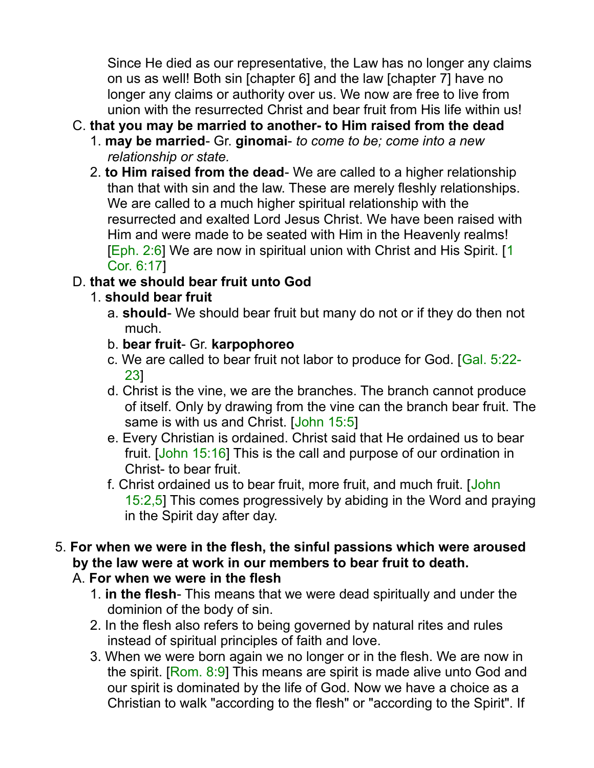Since He died as our representative, the Law has no longer any claims on us as well! Both sin [chapter 6] and the law [chapter 7] have no longer any claims or authority over us. We now are free to live from union with the resurrected Christ and bear fruit from His life within us!

### C. **that you may be married to another- to Him raised from the dead**

- 1. **may be married** Gr. **ginomai** *to come to be; come into a new relationship or state.*
- 2. **to Him raised from the dead** We are called to a higher relationship than that with sin and the law. These are merely fleshly relationships. We are called to a much higher spiritual relationship with the resurrected and exalted Lord Jesus Christ. We have been raised with Him and were made to be seated with Him in the Heavenly realms! [Eph. 2:6] We are now in spiritual union with Christ and His Spirit. [1 Cor. 6:17]

# D. **that we should bear fruit unto God**

- 1. **should bear fruit**
	- a. **should** We should bear fruit but many do not or if they do then not much.
	- b. **bear fruit** Gr. **karpophoreo**
	- c. We are called to bear fruit not labor to produce for God. [Gal. 5:22- 23]
	- d. Christ is the vine, we are the branches. The branch cannot produce of itself. Only by drawing from the vine can the branch bear fruit. The same is with us and Christ. [John 15:5]
	- e. Every Christian is ordained. Christ said that He ordained us to bear fruit. [John 15:16] This is the call and purpose of our ordination in Christ- to bear fruit.
	- f. Christ ordained us to bear fruit, more fruit, and much fruit. [John 15:2,5] This comes progressively by abiding in the Word and praying in the Spirit day after day.
- 5. **For when we were in the flesh, the sinful passions which were aroused by the law were at work in our members to bear fruit to death.**

# A. **For when we were in the flesh**

- 1. **in the flesh** This means that we were dead spiritually and under the dominion of the body of sin.
- 2. In the flesh also refers to being governed by natural rites and rules instead of spiritual principles of faith and love.
- 3. When we were born again we no longer or in the flesh. We are now in the spirit. [Rom. 8:9] This means are spirit is made alive unto God and our spirit is dominated by the life of God. Now we have a choice as a Christian to walk "according to the flesh" or "according to the Spirit". If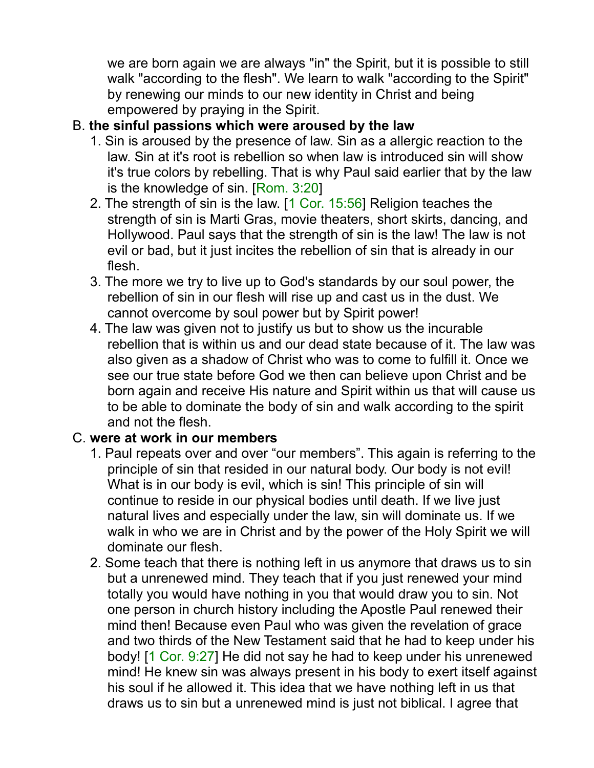we are born again we are always "in" the Spirit, but it is possible to still walk "according to the flesh". We learn to walk "according to the Spirit" by renewing our minds to our new identity in Christ and being empowered by praying in the Spirit.

### B. **the sinful passions which were aroused by the law**

- 1. Sin is aroused by the presence of law. Sin as a allergic reaction to the law. Sin at it's root is rebellion so when law is introduced sin will show it's true colors by rebelling. That is why Paul said earlier that by the law is the knowledge of sin. [Rom. 3:20]
- 2. The strength of sin is the law. [1 Cor. 15:56] Religion teaches the strength of sin is Marti Gras, movie theaters, short skirts, dancing, and Hollywood. Paul says that the strength of sin is the law! The law is not evil or bad, but it just incites the rebellion of sin that is already in our flesh.
- 3. The more we try to live up to God's standards by our soul power, the rebellion of sin in our flesh will rise up and cast us in the dust. We cannot overcome by soul power but by Spirit power!
- 4. The law was given not to justify us but to show us the incurable rebellion that is within us and our dead state because of it. The law was also given as a shadow of Christ who was to come to fulfill it. Once we see our true state before God we then can believe upon Christ and be born again and receive His nature and Spirit within us that will cause us to be able to dominate the body of sin and walk according to the spirit and not the flesh.

#### C. **were at work in our members**

- 1. Paul repeats over and over "our members". This again is referring to the principle of sin that resided in our natural body. Our body is not evil! What is in our body is evil, which is sin! This principle of sin will continue to reside in our physical bodies until death. If we live just natural lives and especially under the law, sin will dominate us. If we walk in who we are in Christ and by the power of the Holy Spirit we will dominate our flesh.
- 2. Some teach that there is nothing left in us anymore that draws us to sin but a unrenewed mind. They teach that if you just renewed your mind totally you would have nothing in you that would draw you to sin. Not one person in church history including the Apostle Paul renewed their mind then! Because even Paul who was given the revelation of grace and two thirds of the New Testament said that he had to keep under his body! [1 Cor. 9:27] He did not say he had to keep under his unrenewed mind! He knew sin was always present in his body to exert itself against his soul if he allowed it. This idea that we have nothing left in us that draws us to sin but a unrenewed mind is just not biblical. I agree that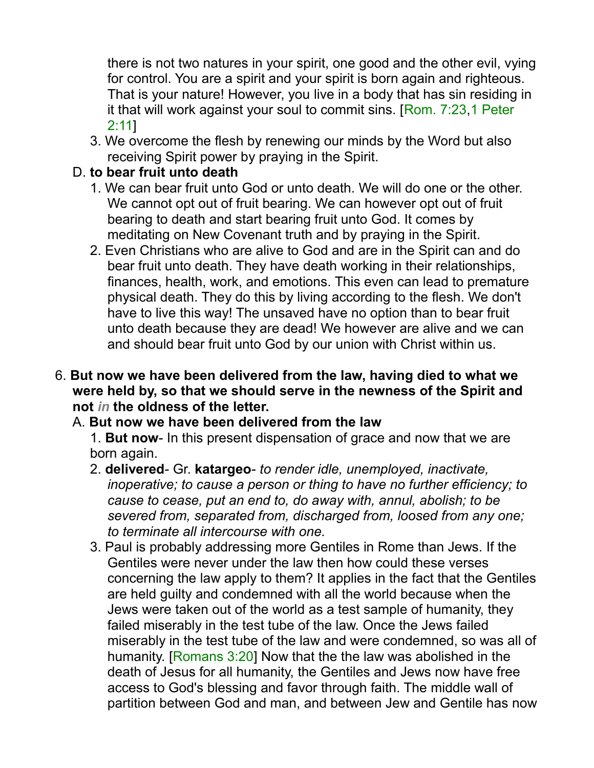there is not two natures in your spirit, one good and the other evil, vying for control. You are a spirit and your spirit is born again and righteous. That is your nature! However, you live in a body that has sin residing in it that will work against your soul to commit sins. [Rom. 7:23,1 Peter 2:11]

3. We overcome the flesh by renewing our minds by the Word but also receiving Spirit power by praying in the Spirit.

#### D. **to bear fruit unto death**

- 1. We can bear fruit unto God or unto death. We will do one or the other. We cannot opt out of fruit bearing. We can however opt out of fruit bearing to death and start bearing fruit unto God. It comes by meditating on New Covenant truth and by praying in the Spirit.
- 2. Even Christians who are alive to God and are in the Spirit can and do bear fruit unto death. They have death working in their relationships, finances, health, work, and emotions. This even can lead to premature physical death. They do this by living according to the flesh. We don't have to live this way! The unsaved have no option than to bear fruit unto death because they are dead! We however are alive and we can and should bear fruit unto God by our union with Christ within us.

#### 6. **But now we have been delivered from the law, having died to what we were held by, so that we should serve in the newness of the Spirit and not** *in* **the oldness of the letter.**

#### A. **But now we have been delivered from the law**

1. **But now**- In this present dispensation of grace and now that we are born again.

- 2. **delivered** Gr. **katargeo** *to render idle, unemployed, inactivate, inoperative; to cause a person or thing to have no further efficiency; to cause to cease, put an end to, do away with, annul, abolish; to be severed from, separated from, discharged from, loosed from any one; to terminate all intercourse with one.*
- 3. Paul is probably addressing more Gentiles in Rome than Jews. If the Gentiles were never under the law then how could these verses concerning the law apply to them? It applies in the fact that the Gentiles are held guilty and condemned with all the world because when the Jews were taken out of the world as a test sample of humanity, they failed miserably in the test tube of the law. Once the Jews failed miserably in the test tube of the law and were condemned, so was all of humanity. [Romans 3:20] Now that the the law was abolished in the death of Jesus for all humanity, the Gentiles and Jews now have free access to God's blessing and favor through faith. The middle wall of partition between God and man, and between Jew and Gentile has now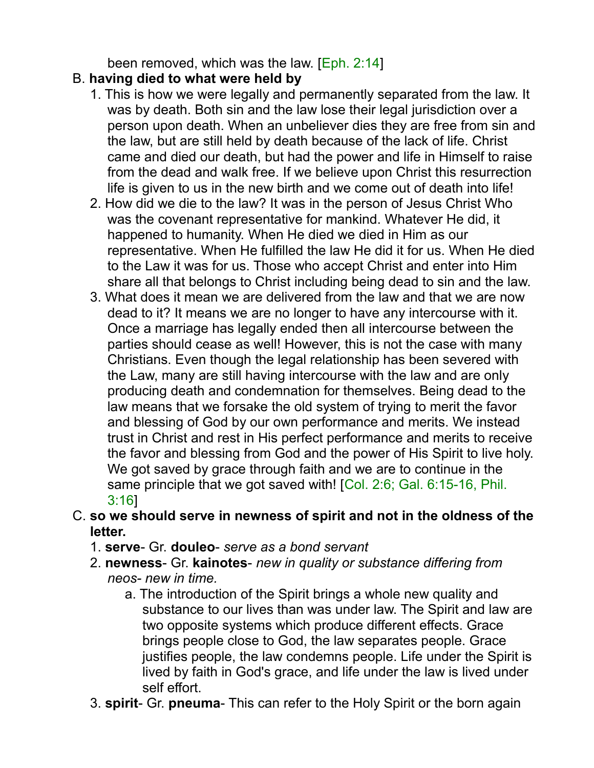been removed, which was the law. [Eph. 2:14]

### B. **having died to what were held by**

- 1. This is how we were legally and permanently separated from the law. It was by death. Both sin and the law lose their legal jurisdiction over a person upon death. When an unbeliever dies they are free from sin and the law, but are still held by death because of the lack of life. Christ came and died our death, but had the power and life in Himself to raise from the dead and walk free. If we believe upon Christ this resurrection life is given to us in the new birth and we come out of death into life!
- 2. How did we die to the law? It was in the person of Jesus Christ Who was the covenant representative for mankind. Whatever He did, it happened to humanity. When He died we died in Him as our representative. When He fulfilled the law He did it for us. When He died to the Law it was for us. Those who accept Christ and enter into Him share all that belongs to Christ including being dead to sin and the law.
- 3. What does it mean we are delivered from the law and that we are now dead to it? It means we are no longer to have any intercourse with it. Once a marriage has legally ended then all intercourse between the parties should cease as well! However, this is not the case with many Christians. Even though the legal relationship has been severed with the Law, many are still having intercourse with the law and are only producing death and condemnation for themselves. Being dead to the law means that we forsake the old system of trying to merit the favor and blessing of God by our own performance and merits. We instead trust in Christ and rest in His perfect performance and merits to receive the favor and blessing from God and the power of His Spirit to live holy. We got saved by grace through faith and we are to continue in the same principle that we got saved with! [Col. 2:6; Gal. 6:15-16, Phil. 3:16]
- C. **so we should serve in newness of spirit and not in the oldness of the letter.**
	- 1. **serve** Gr. **douleo** *serve as a bond servant*
	- 2. **newness** Gr. **kainotes** *new in quality or substance differing from neos- new in time.*
		- a. The introduction of the Spirit brings a whole new quality and substance to our lives than was under law. The Spirit and law are two opposite systems which produce different effects. Grace brings people close to God, the law separates people. Grace justifies people, the law condemns people. Life under the Spirit is lived by faith in God's grace, and life under the law is lived under self effort.
	- 3. **spirit** Gr. **pneuma** This can refer to the Holy Spirit or the born again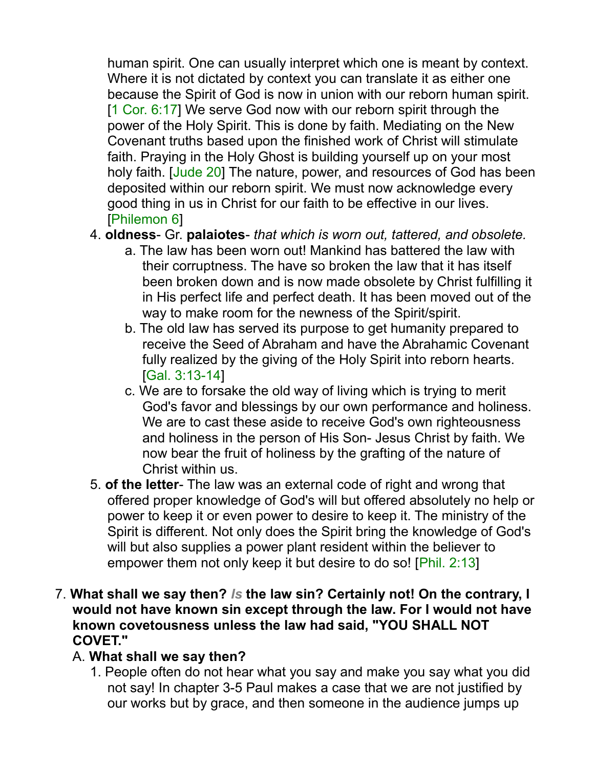human spirit. One can usually interpret which one is meant by context. Where it is not dictated by context you can translate it as either one because the Spirit of God is now in union with our reborn human spirit. [1 Cor. 6:17] We serve God now with our reborn spirit through the power of the Holy Spirit. This is done by faith. Mediating on the New Covenant truths based upon the finished work of Christ will stimulate faith. Praying in the Holy Ghost is building yourself up on your most holy faith. [Jude 20] The nature, power, and resources of God has been deposited within our reborn spirit. We must now acknowledge every good thing in us in Christ for our faith to be effective in our lives. [Philemon 6]

- 4. **oldness** Gr. **palaiotes** *that which is worn out, tattered, and obsolete.*
	- a. The law has been worn out! Mankind has battered the law with their corruptness. The have so broken the law that it has itself been broken down and is now made obsolete by Christ fulfilling it in His perfect life and perfect death. It has been moved out of the way to make room for the newness of the Spirit/spirit.
	- b. The old law has served its purpose to get humanity prepared to receive the Seed of Abraham and have the Abrahamic Covenant fully realized by the giving of the Holy Spirit into reborn hearts. [Gal. 3:13-14]
	- c. We are to forsake the old way of living which is trying to merit God's favor and blessings by our own performance and holiness. We are to cast these aside to receive God's own righteousness and holiness in the person of His Son- Jesus Christ by faith. We now bear the fruit of holiness by the grafting of the nature of Christ within us.
- 5. **of the letter** The law was an external code of right and wrong that offered proper knowledge of God's will but offered absolutely no help or power to keep it or even power to desire to keep it. The ministry of the Spirit is different. Not only does the Spirit bring the knowledge of God's will but also supplies a power plant resident within the believer to empower them not only keep it but desire to do so! [Phil. 2:13]
- 7. **What shall we say then?** *Is* **the law sin? Certainly not! On the contrary, I would not have known sin except through the law. For I would not have known covetousness unless the law had said, "YOU SHALL NOT COVET."**

#### A. **What shall we say then?**

1. People often do not hear what you say and make you say what you did not say! In chapter 3-5 Paul makes a case that we are not justified by our works but by grace, and then someone in the audience jumps up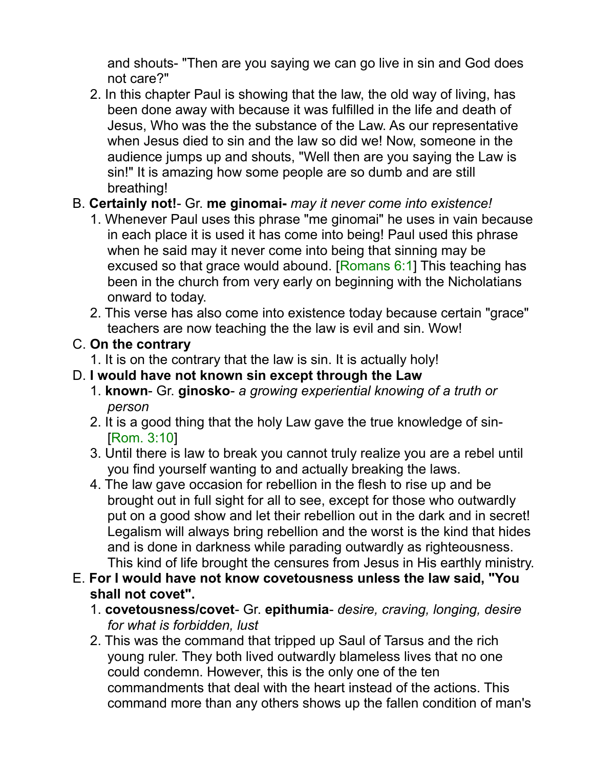and shouts- "Then are you saying we can go live in sin and God does not care?"

2. In this chapter Paul is showing that the law, the old way of living, has been done away with because it was fulfilled in the life and death of Jesus, Who was the the substance of the Law. As our representative when Jesus died to sin and the law so did we! Now, someone in the audience jumps up and shouts, "Well then are you saying the Law is sin!" It is amazing how some people are so dumb and are still breathing!

### B. **Certainly not!**- Gr. **me ginomai-** *may it never come into existence!*

- 1. Whenever Paul uses this phrase "me ginomai" he uses in vain because in each place it is used it has come into being! Paul used this phrase when he said may it never come into being that sinning may be excused so that grace would abound. [Romans 6:1] This teaching has been in the church from very early on beginning with the Nicholatians onward to today.
- 2. This verse has also come into existence today because certain "grace" teachers are now teaching the the law is evil and sin. Wow!

### C. **On the contrary**

1. It is on the contrary that the law is sin. It is actually holy!

### D. **I would have not known sin except through the Law**

- 1. **known** Gr. **ginosko** *a growing experiential knowing of a truth or person*
- 2. It is a good thing that the holy Law gave the true knowledge of sin- [Rom. 3:10]
- 3. Until there is law to break you cannot truly realize you are a rebel until you find yourself wanting to and actually breaking the laws.
- 4. The law gave occasion for rebellion in the flesh to rise up and be brought out in full sight for all to see, except for those who outwardly put on a good show and let their rebellion out in the dark and in secret! Legalism will always bring rebellion and the worst is the kind that hides and is done in darkness while parading outwardly as righteousness. This kind of life brought the censures from Jesus in His earthly ministry.
- E. **For I would have not know covetousness unless the law said, "You shall not covet".**
	- 1. **covetousness/covet** Gr. **epithumia** *desire, craving, longing, desire for what is forbidden, lust*
	- 2. This was the command that tripped up Saul of Tarsus and the rich young ruler. They both lived outwardly blameless lives that no one could condemn. However, this is the only one of the ten commandments that deal with the heart instead of the actions. This command more than any others shows up the fallen condition of man's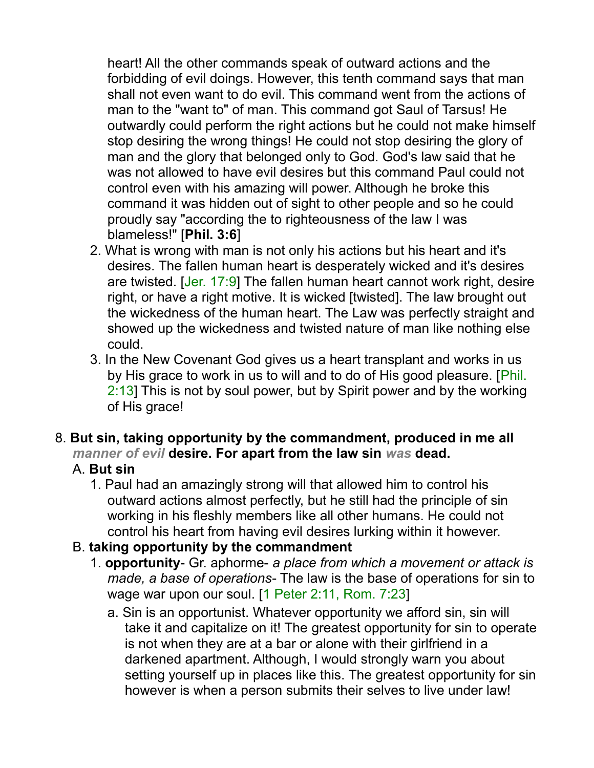heart! All the other commands speak of outward actions and the forbidding of evil doings. However, this tenth command says that man shall not even want to do evil. This command went from the actions of man to the "want to" of man. This command got Saul of Tarsus! He outwardly could perform the right actions but he could not make himself stop desiring the wrong things! He could not stop desiring the glory of man and the glory that belonged only to God. God's law said that he was not allowed to have evil desires but this command Paul could not control even with his amazing will power. Although he broke this command it was hidden out of sight to other people and so he could proudly say "according the to righteousness of the law I was blameless!" [**Phil. 3:6**]

- 2. What is wrong with man is not only his actions but his heart and it's desires. The fallen human heart is desperately wicked and it's desires are twisted. [Jer. 17:9] The fallen human heart cannot work right, desire right, or have a right motive. It is wicked [twisted]. The law brought out the wickedness of the human heart. The Law was perfectly straight and showed up the wickedness and twisted nature of man like nothing else could.
- 3. In the New Covenant God gives us a heart transplant and works in us by His grace to work in us to will and to do of His good pleasure. [Phil. 2:13] This is not by soul power, but by Spirit power and by the working of His grace!
- 8. **But sin, taking opportunity by the commandment, produced in me all** *manner of evil* **desire. For apart from the law sin** *was* **dead.**

# A. **But sin**

- 1. Paul had an amazingly strong will that allowed him to control his outward actions almost perfectly, but he still had the principle of sin working in his fleshly members like all other humans. He could not control his heart from having evil desires lurking within it however.
- B. **taking opportunity by the commandment**
	- 1. **opportunity** Gr. aphorme- *a place from which a movement or attack is made, a base of operations*- The law is the base of operations for sin to wage war upon our soul. [1 Peter 2:11, Rom. 7:23]
		- a. Sin is an opportunist. Whatever opportunity we afford sin, sin will take it and capitalize on it! The greatest opportunity for sin to operate is not when they are at a bar or alone with their girlfriend in a darkened apartment. Although, I would strongly warn you about setting yourself up in places like this. The greatest opportunity for sin however is when a person submits their selves to live under law!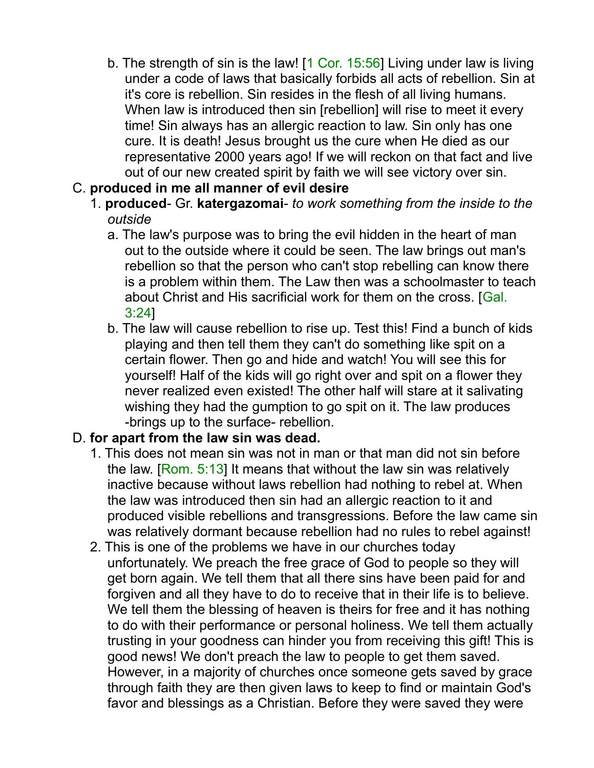- b. The strength of sin is the law! [1 Cor. 15:56] Living under law is living under a code of laws that basically forbids all acts of rebellion. Sin at it's core is rebellion. Sin resides in the flesh of all living humans. When law is introduced then sin [rebellion] will rise to meet it every time! Sin always has an allergic reaction to law. Sin only has one cure. It is death! Jesus brought us the cure when He died as our representative 2000 years ago! If we will reckon on that fact and live out of our new created spirit by faith we will see victory over sin.
- C. **produced in me all manner of evil desire**
	- 1. **produced** Gr. **katergazomai** *to work something from the inside to the outside*
		- a. The law's purpose was to bring the evil hidden in the heart of man out to the outside where it could be seen. The law brings out man's rebellion so that the person who can't stop rebelling can know there is a problem within them. The Law then was a schoolmaster to teach about Christ and His sacrificial work for them on the cross. [Gal. 3:24]
		- b. The law will cause rebellion to rise up. Test this! Find a bunch of kids playing and then tell them they can't do something like spit on a certain flower. Then go and hide and watch! You will see this for yourself! Half of the kids will go right over and spit on a flower they never realized even existed! The other half will stare at it salivating wishing they had the gumption to go spit on it. The law produces -brings up to the surface- rebellion.

# D. **for apart from the law sin was dead.**

- 1. This does not mean sin was not in man or that man did not sin before the law. [Rom. 5:13] It means that without the law sin was relatively inactive because without laws rebellion had nothing to rebel at. When the law was introduced then sin had an allergic reaction to it and produced visible rebellions and transgressions. Before the law came sin was relatively dormant because rebellion had no rules to rebel against!
- 2. This is one of the problems we have in our churches today unfortunately. We preach the free grace of God to people so they will get born again. We tell them that all there sins have been paid for and forgiven and all they have to do to receive that in their life is to believe. We tell them the blessing of heaven is theirs for free and it has nothing to do with their performance or personal holiness. We tell them actually trusting in your goodness can hinder you from receiving this gift! This is good news! We don't preach the law to people to get them saved. However, in a majority of churches once someone gets saved by grace through faith they are then given laws to keep to find or maintain God's favor and blessings as a Christian. Before they were saved they were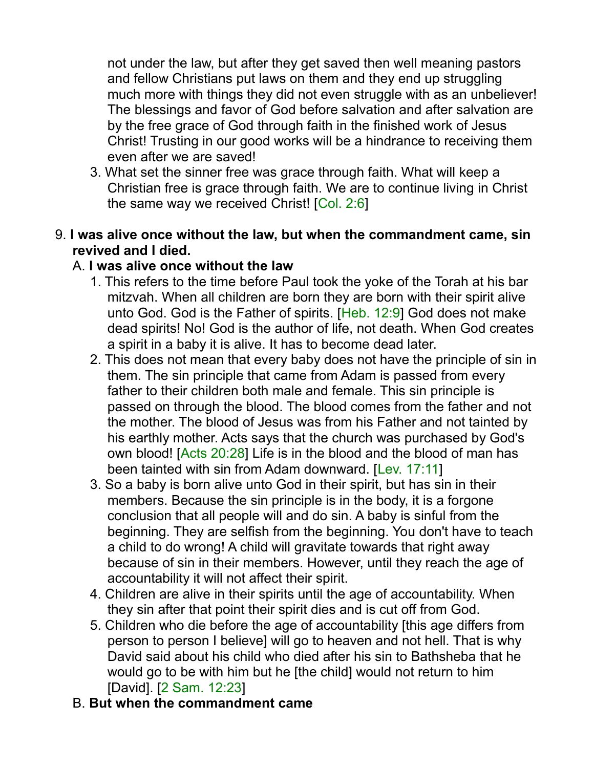not under the law, but after they get saved then well meaning pastors and fellow Christians put laws on them and they end up struggling much more with things they did not even struggle with as an unbeliever! The blessings and favor of God before salvation and after salvation are by the free grace of God through faith in the finished work of Jesus Christ! Trusting in our good works will be a hindrance to receiving them even after we are saved!

3. What set the sinner free was grace through faith. What will keep a Christian free is grace through faith. We are to continue living in Christ the same way we received Christ! [Col. 2:6]

#### 9. **I was alive once without the law, but when the commandment came, sin revived and I died.**

#### A. **I was alive once without the law**

- 1. This refers to the time before Paul took the yoke of the Torah at his bar mitzvah. When all children are born they are born with their spirit alive unto God. God is the Father of spirits. [Heb. 12:9] God does not make dead spirits! No! God is the author of life, not death. When God creates a spirit in a baby it is alive. It has to become dead later.
- 2. This does not mean that every baby does not have the principle of sin in them. The sin principle that came from Adam is passed from every father to their children both male and female. This sin principle is passed on through the blood. The blood comes from the father and not the mother. The blood of Jesus was from his Father and not tainted by his earthly mother. Acts says that the church was purchased by God's own blood! [Acts 20:28] Life is in the blood and the blood of man has been tainted with sin from Adam downward. [Lev. 17:11]
- 3. So a baby is born alive unto God in their spirit, but has sin in their members. Because the sin principle is in the body, it is a forgone conclusion that all people will and do sin. A baby is sinful from the beginning. They are selfish from the beginning. You don't have to teach a child to do wrong! A child will gravitate towards that right away because of sin in their members. However, until they reach the age of accountability it will not affect their spirit.
- 4. Children are alive in their spirits until the age of accountability. When they sin after that point their spirit dies and is cut off from God.
- 5. Children who die before the age of accountability [this age differs from person to person I believe] will go to heaven and not hell. That is why David said about his child who died after his sin to Bathsheba that he would go to be with him but he [the child] would not return to him [David]. [2 Sam. 12:23]

#### B. **But when the commandment came**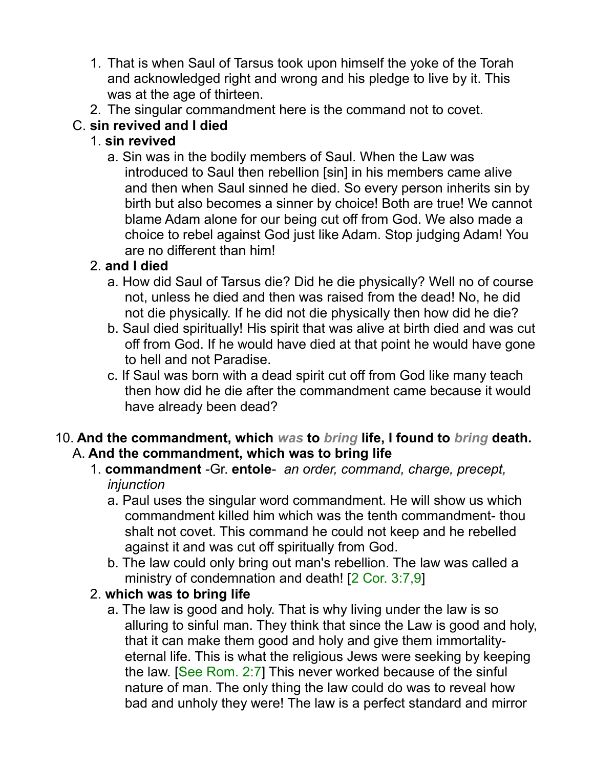- 1. That is when Saul of Tarsus took upon himself the yoke of the Torah and acknowledged right and wrong and his pledge to live by it. This was at the age of thirteen.
- 2. The singular commandment here is the command not to covet.

# C. **sin revived and I died**

# 1. **sin revived**

a. Sin was in the bodily members of Saul. When the Law was introduced to Saul then rebellion [sin] in his members came alive and then when Saul sinned he died. So every person inherits sin by birth but also becomes a sinner by choice! Both are true! We cannot blame Adam alone for our being cut off from God. We also made a choice to rebel against God just like Adam. Stop judging Adam! You are no different than him!

# 2. **and I died**

- a. How did Saul of Tarsus die? Did he die physically? Well no of course not, unless he died and then was raised from the dead! No, he did not die physically. If he did not die physically then how did he die?
- b. Saul died spiritually! His spirit that was alive at birth died and was cut off from God. If he would have died at that point he would have gone to hell and not Paradise.
- c. If Saul was born with a dead spirit cut off from God like many teach then how did he die after the commandment came because it would have already been dead?
- 10. **And the commandment, which** *was* **to** *bring* **life, I found to** *bring* **death.** A. **And the commandment, which was to bring life**
	- 1. **commandment** -Gr. **entole** *an order, command, charge, precept, injunction*
		- a. Paul uses the singular word commandment. He will show us which commandment killed him which was the tenth commandment- thou shalt not covet. This command he could not keep and he rebelled against it and was cut off spiritually from God.
		- b. The law could only bring out man's rebellion. The law was called a ministry of condemnation and death! [2 Cor. 3:7,9]

# 2. **which was to bring life**

a. The law is good and holy. That is why living under the law is so alluring to sinful man. They think that since the Law is good and holy, that it can make them good and holy and give them immortalityeternal life. This is what the religious Jews were seeking by keeping the law. [See Rom. 2:7] This never worked because of the sinful nature of man. The only thing the law could do was to reveal how bad and unholy they were! The law is a perfect standard and mirror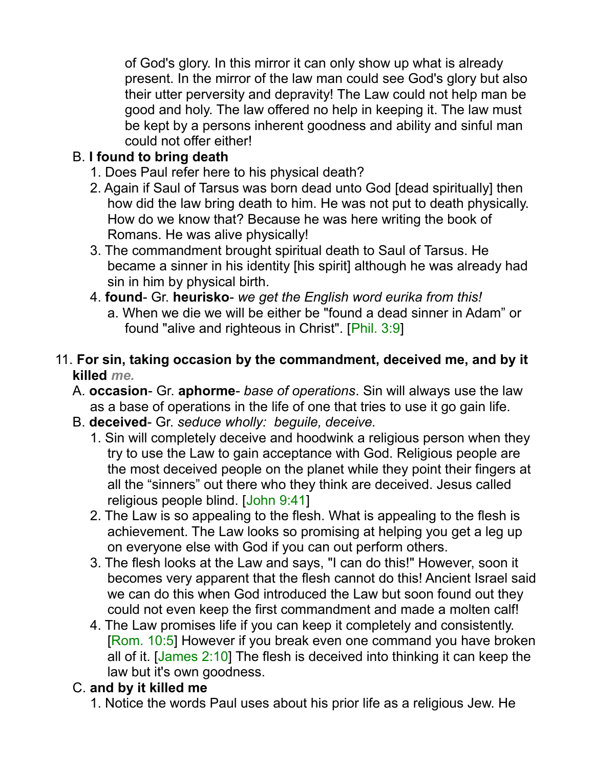of God's glory. In this mirror it can only show up what is already present. In the mirror of the law man could see God's glory but also their utter perversity and depravity! The Law could not help man be good and holy. The law offered no help in keeping it. The law must be kept by a persons inherent goodness and ability and sinful man could not offer either!

# B. **I found to bring death**

- 1. Does Paul refer here to his physical death?
- 2. Again if Saul of Tarsus was born dead unto God [dead spiritually] then how did the law bring death to him. He was not put to death physically. How do we know that? Because he was here writing the book of Romans. He was alive physically!
- 3. The commandment brought spiritual death to Saul of Tarsus. He became a sinner in his identity [his spirit] although he was already had sin in him by physical birth.
- 4. **found** Gr. **heurisko** *we get the English word eurika from this!* a. When we die we will be either be "found a dead sinner in Adam" or found "alive and righteous in Christ". [Phil. 3:9]
- 11. **For sin, taking occasion by the commandment, deceived me, and by it killed** *me.*
	- A. **occasion** Gr. **aphorme** *base of operations*. Sin will always use the law as a base of operations in the life of one that tries to use it go gain life.
	- B. **deceived** Gr. *seduce wholly: beguile, deceive.*
		- 1. Sin will completely deceive and hoodwink a religious person when they try to use the Law to gain acceptance with God. Religious people are the most deceived people on the planet while they point their fingers at all the "sinners" out there who they think are deceived. Jesus called religious people blind. [John 9:41]
		- 2. The Law is so appealing to the flesh. What is appealing to the flesh is achievement. The Law looks so promising at helping you get a leg up on everyone else with God if you can out perform others.
		- 3. The flesh looks at the Law and says, "I can do this!" However, soon it becomes very apparent that the flesh cannot do this! Ancient Israel said we can do this when God introduced the Law but soon found out they could not even keep the first commandment and made a molten calf!
		- 4. The Law promises life if you can keep it completely and consistently. [Rom. 10:5] However if you break even one command you have broken all of it. [James 2:10] The flesh is deceived into thinking it can keep the law but it's own goodness.

# C. **and by it killed me**

1. Notice the words Paul uses about his prior life as a religious Jew. He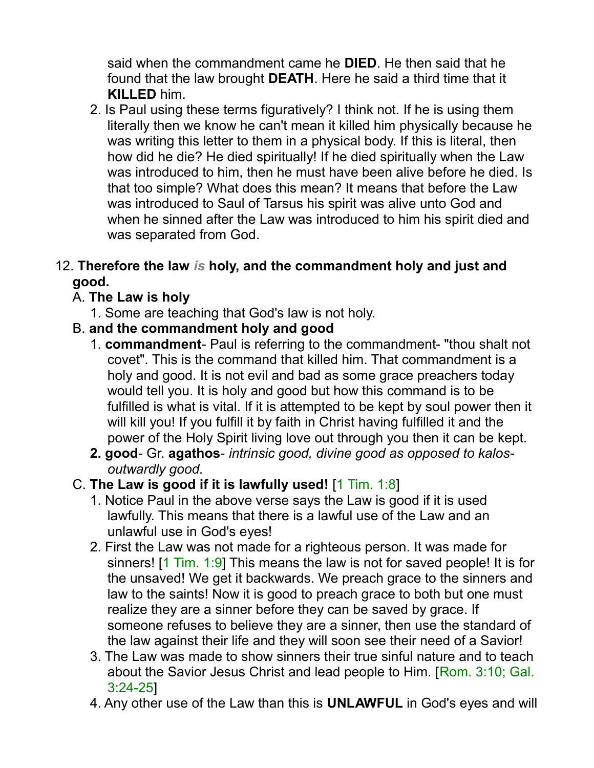said when the commandment came he **DIED**. He then said that he found that the law brought **DEATH**. Here he said a third time that it **KILLED** him.

2. Is Paul using these terms figuratively? I think not. If he is using them literally then we know he can't mean it killed him physically because he was writing this letter to them in a physical body. If this is literal, then how did he die? He died spiritually! If he died spiritually when the Law was introduced to him, then he must have been alive before he died. Is that too simple? What does this mean? It means that before the Law was introduced to Saul of Tarsus his spirit was alive unto God and when he sinned after the Law was introduced to him his spirit died and was separated from God.

#### 12. **Therefore the law** *is* **holy, and the commandment holy and just and good.**

### A. **The Law is holy**

- 1. Some are teaching that God's law is not holy.
- B. **and the commandment holy and good**
	- 1. **commandment** Paul is referring to the commandment- "thou shalt not covet". This is the command that killed him. That commandment is a holy and good. It is not evil and bad as some grace preachers today would tell you. It is holy and good but how this command is to be fulfilled is what is vital. If it is attempted to be kept by soul power then it will kill you! If you fulfill it by faith in Christ having fulfilled it and the power of the Holy Spirit living love out through you then it can be kept.
	- **2. good** Gr. **agathos** *intrinsic good, divine good as opposed to kalosoutwardly good.*

#### C. **The Law is good if it is lawfully used!** [1 Tim. 1:8]

- 1. Notice Paul in the above verse says the Law is good if it is used lawfully. This means that there is a lawful use of the Law and an unlawful use in God's eyes!
- 2. First the Law was not made for a righteous person. It was made for sinners! [1 Tim. 1:9] This means the law is not for saved people! It is for the unsaved! We get it backwards. We preach grace to the sinners and law to the saints! Now it is good to preach grace to both but one must realize they are a sinner before they can be saved by grace. If someone refuses to believe they are a sinner, then use the standard of the law against their life and they will soon see their need of a Savior!
- 3. The Law was made to show sinners their true sinful nature and to teach about the Savior Jesus Christ and lead people to Him. [Rom. 3:10; Gal. 3:24-25]
- 4. Any other use of the Law than this is **UNLAWFUL** in God's eyes and will